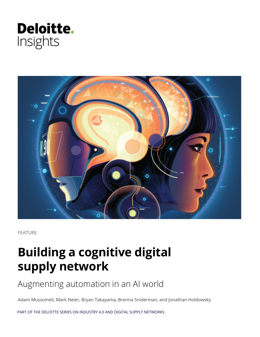



FEATURE

# **Building a cognitive digital supply network**

Augmenting automation in an AI world

Adam Mussomeli, Mark Neier, Bryan Takayama, Brenna Sniderman, and Jonathan Holdowsky

PART OF THE DELOITTE SERIES ON INDUSTRY 4.0 AND DIGITAL SUPPLY NETWORKS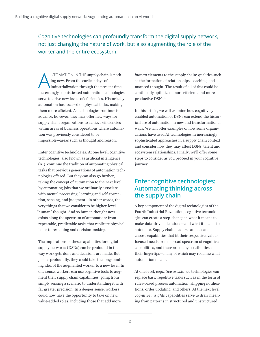Cognitive technologies can profoundly transform the digital supply network, not just changing the nature of work, but also augmenting the role of the worker and the entire ecosystem.

UTOMATION IN THE supply chain is nothing new. From the earliest days of industrialization through the present time, increasingly sophisticated automation technologies serve to drive new levels of efficiencies. Historically, automation has focused on physical tasks, making them more efficient. As technologies continue to advance, however, they may offer new ways for supply chain organizations to achieve efficiencies within areas of business operations where automation was previously considered to be impossible—areas such as thought and reason.

Enter cognitive technologies. At one level, cognitive technologies, also known as artificial intelligence (AI), continue the tradition of automating physical tasks that previous generations of automation technologies offered. But they can also go further, taking the concept of automation to the next level by automating jobs that we ordinarily associate with mental processing, learning and self-correction, sensing, and judgment—in other words, the very things that we consider to be higher-level "human" thought. And so human thought now exists along the spectrum of automation: from repeatable, predictable tasks that replicate physical labor to reasoning and decision-making.

The implications of these capabilities for digital supply networks (DSNs) can be profound in the way work gets done and decisions are made. But just as profoundly, they could take the longstanding idea of the augmented worker to a new level. In one sense, workers can use cognitive tools to augment their supply chain capabilities, going from simply sensing a scenario to understanding it with far greater precision. In a deeper sense, workers could now have the opportunity to take on new, value-added roles, including those that add more

*human* elements to the supply chain: qualities such as the formation of relationships, coaching, and nuanced thought. The result of all of this could be continually optimized, more efficient, and more productive DSNs.<sup>1</sup>

In this article, we will examine how cognitively enabled automation of DSNs can extend the historical arc of automation in new and transformational ways. We will offer examples of how some organizations have used AI technologies in increasingly sophisticated approaches in a supply chain context and consider how they may affect DSNs' talent and ecosystem relationships. Finally, we'll offer some steps to consider as you proceed in your cognitive journey.

### **Enter cognitive technologies: Automating thinking across the supply chain**

A key component of the digital technologies of the Fourth Industrial Revolution, cognitive technologies can create a step-change in what it means to make data-driven decisions—and what it means to automate. Supply chain leaders can pick and choose capabilities that fit their respective, valuefocused needs from a broad spectrum of cognitive capabilities, and there are many possibilities at their fingertips—many of which may redefine what automation means.

At one level, *cognitive assistance* technologies can replace basic repetitive tasks such as in the form of rules-based process automation: shipping notifications, order updating, and others. At the next level, *cognitive insights* capabilities serve to draw meaning from patterns in structured and unstructured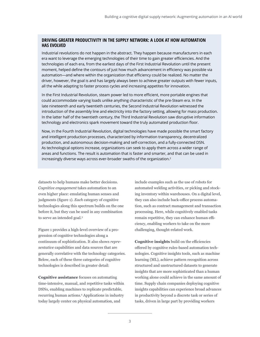#### **DRIVING GREATER PRODUCTIVITY IN THE SUPPLY NETWORK: A LOOK AT HOW AUTOMATION HAS EVOLVED**

Industrial revolutions do not happen in the abstract. They happen because manufacturers in each era want to leverage the emerging technologies of their time to gain greater efficiencies. And the technologies of each era, from the earliest days of the First Industrial Revolution until the present moment, helped define the contours of just how much advancement in efficiency was possible via automation—and where within the organization that efficiency could be realized. No matter the driver, however, the goal is and has largely always been to achieve greater outputs with fewer inputs, all the while adapting to faster process cycles and increasing appetites for innovation.

In the First Industrial Revolution, steam power led to more efficient, more portable engines that could accommodate varying loads unlike anything characteristic of the pre-Steam era. In the late nineteenth and early twentieth centuries, the Second Industrial Revolution witnessed the introduction of the assembly line and electricity into the factory setting, allowing for mass production. In the latter half of the twentieth century, the Third Industrial Revolution saw disruptive information technology and electronics spark movement toward the truly automated production floor.

Now, in the Fourth Industrial Revolution, digital technologies have made possible the smart factory and intelligent production processes, characterized by information transparency, decentralized production, and autonomous decision-making and self-correction, and a fully-connected DSN. As technological options increase, organizations can seek to apply them across a wider range of areas and functions. The result is automation that is faster and smarter, and that can be used in increasingly diverse ways across ever-broader swaths of the organization.2

datasets to help humans make better decisions. *Cognitive engagement* takes automation to an even higher place: emulating human senses and judgments (figure 1). *Each* category of cognitive technologies along this spectrum builds on the one before it, but they can be used in any combination to serve an intended goal.3

Figure 1 provides a high-level overview of a progression of cognitive technologies along a continuum of sophistication. It also shows *representative* capabilities and data sources that are generally correlative with the technology categories. Below, each of these three categories of cognitive technologies is described in greater detail:

**Cognitive assistance** focuses on automating time-intensive, manual, and repetitive tasks within DSNs, enabling machines to replicate predictable, recurring human actions.4 Applications in industry today largely center on physical automation, and

include examples such as the use of robots for automated welding activities, or picking and stocking inventory within warehouses. On a digital level, they can also include back-office process automation, such as contract management and transaction processing. Here, while cognitively enabled tasks remain repetitive, they can enhance human efficiency, enabling workers to take on the more challenging, thought-related work.

**Cognitive insights** build on the efficiencies offered by cognitive rules-based automation technologies. Cognitive insights tools, such as machine learning (ML), achieve pattern recognition across structured and unstructured datasets to generate insights that are more sophisticated than a human working alone could achieve in the same amount of time. Supply chain companies deploying cognitive insights capabilities can experience broad advances in productivity beyond a discrete task or series of tasks, driven in large part by providing workers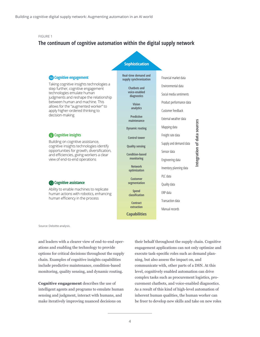#### FIGURE 1

#### **The continuum of cognitive automation within the digital supply network**

#### **Quality sensing Control tower Real-time demand and supply synchronization Chatbots and voice-enabled diagnostics Vision analytics Predictive maintenance Dynamic routing Condition-based monitoring Network optimization Customer segmentation Spend classification Contract**  Taking cognitive insights technologies a step further, cognitive engagement technologies emulate human judgments and reshape the relationship between human and machine. This allows for the "augmented worker" to apply higher-ordered thinking to decision-making Building on cognitive assistance, cognitive insights technologies identify opportunities for growth, diversification, and efficiencies, giving workers a clear view of end-to-end operations Ability to enable machines to replicate human actions with robotics, enhancing human efficiency in the process **Sophistication Cognitive assistance Cognitive insights Cognitive engagement**

**Manual records** Quality data ERP data Customer feedback Transaction data External weather data Product performance data Supply and demand data Financial market data Mapping data Social media sentiments Freight rate data Environmental data Inventory planning data PLC data Engineering data Sensor data

**Integration of data sources**

Integration of data sources

Source: Deloitte analysis.

and leaders with a clearer view of end-to-end operations and enabling the technology to provide options for critical decisions throughout the supply chain. Examples of cognitive insights capabilities include predictive maintenance, condition-based monitoring, quality sensing, and dynamic routing.

**Cognitive engagement** describes the use of intelligent agents and programs to emulate human sensing and judgment, interact with humans, and make iteratively improving nuanced decisions on

their behalf throughout the supply chain. Cognitive engagement applications can not only optimize and execute task-specific roles such as demand planning, but also assess the impact on, and communicate with, other parts of a DSN. At this level, cognitively enabled automation can drive complex tasks such as procurement logistics, procurement chatbots, and voice-enabled diagnostics. As a result of this kind of high-level automation of inherent human qualities, the human worker can be freer to develop new skills and take on new roles

**Capabilities**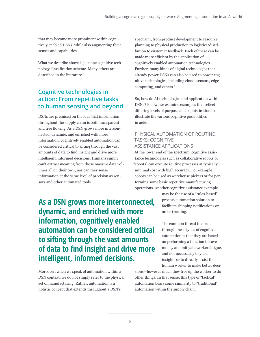that may become more prominent within cognitively enabled DSNs, while also augmenting their senses and capabilities.

What we describe above is just one cognitive technology classification scheme. Many others are described in the literature.<sup>5</sup>

## **Cognitive technologies in action: From repetitive tasks to human sensing and beyond**

DSNs are premised on the idea that information throughout the supply chain is both transparent and free flowing. As a DSN grows more interconnected, dynamic, and enriched with more information, cognitively enabled automation can be considered critical to sifting through the vast amounts of data to find insight and drive more intelligent, informed decisions. Humans simply can't extract meaning from those massive data volumes all on their own, nor can they sense information at the same level of precision as sensors and other automated tools.

spectrum, from product development to resource planning to physical production to logistics/distribution to customer feedback. Each of these can be made more efficient by the application of cognitively enabled automation technologies. Further, many kinds of digital technologies that already power DSNs can also be used to power cognitive technologies, including cloud, sensors, edge computing, and others.<sup>6</sup>

So, how do AI technologies find application within DSNs? Below, we examine examples that reflect differing levels of purpose and sophistication to illustrate the various cognitive possibilities in action.

#### PHYSICAL AUTOMATION OF ROUTINE TASKS: COGNITIVE ASSISTANCE APPLICATIONS

At the lower end of the spectrum, cognitive assistance technologies such as collaborative robots or "cobots" can execute routine processes at typically minimal cost with high accuracy. For example, cobots can be used as warehouse pickers or for performing some basic repetitive manufacturing operations. Another cognitive assistance example

> may be the use of a "rules-based" process automation solution to facilitate shipping notifications or order tracking.

The common thread that runs through these types of cognitive automation is that they are based on performing a function to save money and mitigate worker fatigue, and not necessarily to yield insights or to directly assist the human worker to make better deci-

**As a DSN grows more interconnected, dynamic, and enriched with more information, cognitively enabled automation can be considered critical to sifting through the vast amounts of data to find insight and drive more intelligent, informed decisions.** 

Moreover, when we speak of automation within a DSN context, we do not simply refer to the physical act of manufacturing. Rather, automation is a holistic concept that extends throughout a DSN's

sions—however much they free up the worker to do other things. In that sense, this type of "tactical" automation bears some similarity to "traditional" automation within the supply chain.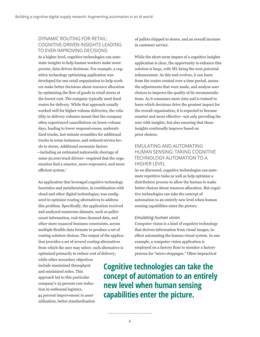#### DYNAMIC ROUTING FOR RETAIL: COGNITIVE-DRIVEN INSIGHTS LEADING TO EVER-IMPROVING DECISIONS

At a higher level, cognitive technologies can automate insights to help human workers make more precise, data-driven decisions. For example, a cognitive technology optimizing application was developed for one retail organization to help workers make better decisions about resource allocation by optimizing the flow of goods to retail stores at the lowest cost. The company typically used fixed routes for delivery. While that approach usually worked well for higher-volume deliveries, the volatility in delivery volumes meant that the company often experienced cancellations on lower-volume days, leading to lower responsiveness, underutilized trucks, last-minute scrambles for additional trucks in some instances, and reduced service levels to stores. Additional economic factors —including an estimated nationwide shortage of some 50,000 truck drivers—required that the organization find a smarter, more responsive, and more efficient system.<sup>7</sup>

An application that leveraged cognitive technology heuristics and metaheuristics, in combination with cloud and other digital technologies, was configured to optimize routing alternatives to address this problem. Specifically, the application received and analyzed numerous datasets, such as palletcount information, real-time demand data, and other more nuanced business constraints, across multiple flexible data formats to produce a set of routing solution choices. The output of the application provides a set of several routing alternatives from which the user may select; each alternative is optimized primarily to reduce cost of delivery,

while other secondary objectives include maximized throughput and minimized miles. This approach led to this particular company's 25 percent cost reduction in outbound logistics, 44 percent improvement in asset utilization, better standardization of pallets shipped to stores, and an overall increase in customer service.

While the short-term impact of a cognitive insights application is clear, the opportunity to enhance this solution is large, with ML being the next potential enhancement. As this tool evolves, it can learn from the routes created over a time period, assess the adjustments that were made, and analyze user choices to improve the quality of its recommendations. As it consumes more data and is trained to learn which decisions drive the greatest impact for the overall organization, it is expected to become smarter and more effective—not only providing the user with insights, but also ensuring that those insights continually improve based on prior choices.

#### EMULATING AND AUTOMATING HUMAN SENSING: TAKING COGNITIVE TECHNOLOGY AUTOMATION TO A HIGHER LEVEL

As we discussed, cognitive technologies can automate repetitive tasks as well as help optimize a distribution process to allow the human to make better choices about resource allocation. But cognitive technologies can take the concept of automation to an entirely new level when human sensing capabilities enter the picture.

#### *Emulating human vision*

Computer vision is a kind of cognitive technology that derives information from visual images, in effect automating the human visual system. In one example, a computer vision application is employed on a factory floor to monitor a factory process for "micro stoppages." Often impractical

**Cognitive technologies can take the concept of automation to an entirely new level when human sensing capabilities enter the picture.**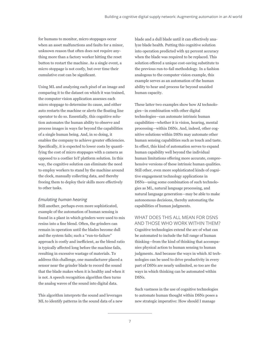for humans to monitor, micro stoppages occur when an asset malfunctions and faults for a minor, unknown reason that often does not require anything more than a factory worker hitting the reset button to restart the machine. As a single event, a micro stoppage is not costly, but over time their cumulative cost can be significant.

Using ML and analyzing each pixel of an image and comparing it to the dataset on which it was trained, the computer vision application assesses each micro stoppage to determine its cause, and either auto restarts the machine or alerts the floating line operator to do so. Essentially, this cognitive solution automates the human ability to observe and process images in ways far beyond the capabilities of a single human being. And, in so doing, it enables the company to achieve greater efficiencies. Specifically, it is expected to lower costs by quantifying the cost of micro stoppages with a camera as opposed to a costlier IoT platform solution. In this way, the cognitive solution can eliminate the need to employ workers to stand by the machine around the clock, manually collecting data, and thereby freeing them to deploy their skills more effectively to other tasks.

#### *Emulating human hearing*

Still another, perhaps even more sophisticated, example of the automation of human sensing is found in a plant in which grinders were used to mix resins into a fine blend. Often, the grinders can remain in operation until the blades become dull and the system fails; such a "run-to-failure" approach is costly and inefficient, as the blend ratio is typically affected long before the machine fails, resulting in excessive wastage of materials. To address this challenge, one manufacturer placed a sensor near the grinder blade to record the sound that the blade makes when it is healthy and when it is not. A speech recognition algorithm then turns the analog waves of the sound into digital data.

This algorithm interprets the sound and leverages ML to identify patterns in the sound data of a new

blade and a dull blade until it can effectively analyze blade health. Putting this cognitive solution into operation predicted with 92 percent accuracy when the blade was required to be replaced. This solution offered a unique cost-saving substitute to the previous run-to-fail methodology. In a fashion analogous to the computer vision example, this example serves as an automation of the human ability to hear and process far beyond unaided human capacity.

These latter two examples show how AI technologies—in combination with other digital technologies—can automate intrinsic human capabilities—whether it is vision, hearing, mental processing—within DSNs. And, indeed, other cognitive solutions within DSNs may automate other human sensing capabilities such as touch and taste. In effect, this kind of automation serves to expand human capability well beyond the individual human limitations offering more accurate, comprehensive versions of these intrinsic human qualities. Still other, even more sophisticated kinds of cognitive engagement technology applications in DSNs—using some combination of such technologies as ML, natural language processing, and natural language generation—may be able to make autonomous decisions, thereby automating the capabilities of human judgments.

#### WHAT DOES THIS ALL MEAN FOR DSNS AND THOSE WHO WORK WITHIN THEM?

Cognitive technologies extend the arc of what can be automated to include the full range of human thinking—from the kind of thinking that accompanies physical action to human sensing to human judgments. And because the ways in which AI technologies can be used to drive productivity in every part of DSNs are nearly unlimited, so too are the ways in which thinking can be automated within DSNs.

Such vastness in the use of cognitive technologies to automate human thought within DSNs poses a new strategic imperative: How should I manage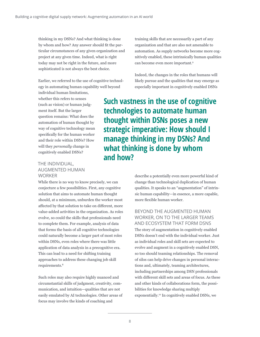thinking in my DSNs? And what thinking is done by whom and how? Any answer should fit the particular circumstances of any given organization and project at any given time. Indeed, what is right today may not be right in the future, and more sophisticated is not always the best choice.

Earlier, we referred to the use of cognitive technology in automating human capability well beyond

individual human limitations, whether this refers to senses (such as vision) or human judgment itself. But the larger question remains: What does the automation of human thought by way of cognitive technology mean specifically for the human worker and their role within DSNs? How will they *personally* change in cognitively enabled DSNs?

#### THE INDIVIDUAL, AUGMENTED HUMAN **WORKER**

While there is no way to know precisely, we can conjecture a few possibilities. First, any cognitive solution that aims to automate human thought should, at a minimum, unburden the worker most affected by that solution to take on different, more value-added activities in the organization. As roles evolve, so could the skills that professionals need to complete them. For example, analysis of data that forms the basis of all cognitive technologies could naturally become a larger part of most roles within DSNs, even roles where there was little application of data analysis in a precognitive era. This can lead to a need for shifting training approaches to address these changing job skill requirements.<sup>8</sup>

Such roles may also require highly nuanced and circumstantial skills of judgment, creativity, communication, and intuition—qualities that are not easily emulated by AI technologies. Other areas of focus may involve the kinds of coaching and

training skills that are necessarily a part of any organization and that are also not amenable to automation. As supply networks become more cognitively enabled, these intrinsically human qualities can become even more important.9

Indeed, the changes in the roles that humans will likely pursue and the qualities that may emerge as especially important in cognitively enabled DSNs

**Such vastness in the use of cognitive technologies to automate human thought within DSNs poses a new strategic imperative: How should I manage thinking in my DSNs? And what thinking is done by whom and how?**

> describe a potentially even more powerful kind of change than technological duplication of human qualities. It speaks to an "augmentation" of intrinsic human capability—in essence, a more capable, more flexible human worker.

> BEYOND THE AUGMENTED HUMAN WORKER, ON TO THE LARGER TEAMS AND ECOSYSTEM THAT FORM DSNS The story of augmentation in cognitively enabled DSNs doesn't end with the individual worker. Just as individual roles and skill sets are expected to evolve and augment in a cognitively enabled DSN, so too should teaming relationships. The removal of silos can help drive changes in personal interactions and, ultimately, teaming architectures,

> including partnerships among DSN professionals with different skill sets and areas of focus. As these and other kinds of collaborations form, the possibilities for knowledge sharing multiply exponentially.10 In cognitively enabled DSNs, we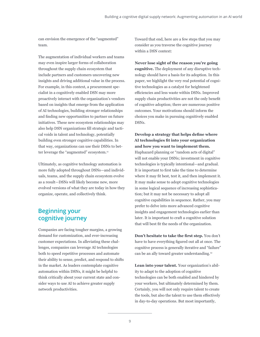can envision the emergence of the "augmented" team.

The augmentation of individual workers and teams may even inspire larger forms of collaboration throughout the supply chain ecosystem that include partners and customers uncovering new insights and driving additional value in the process. For example, in this context, a procurement specialist in a cognitively enabled DSN may more proactively interact with the organization's vendors based on insights that emerge from the application of AI technologies, building stronger relationships and finding new opportunities to partner on future initiatives. These new ecosystem relationships may also help DSN organizations fill strategic and tactical voids in talent and technology, potentially building even stronger cognitive capabilities. In that way, organizations can use their DSNs to better leverage the "augmented" ecosystem.<sup>11</sup>

Ultimately, as cognitive technology automation is more fully adopted throughout DSNs—and individuals, teams, and the supply chain ecosystem evolve as a result—DSNs will likely become new, more evolved versions of what they are today in how they organize, operate, and collectively think.

## **Beginning your cognitive journey**

Companies are facing tougher margins, a growing demand for customization, and ever-increasing customer expectations. In alleviating these challenges, companies can leverage AI technologies both to speed repetitive processes and automate their ability to sense, predict, and respond to shifts in the market. As leaders contemplate cognitive automation within DSNs, it might be helpful to think critically about your current state and consider ways to use AI to achieve greater supply network productivities.

Toward that end, here are a few steps that you may consider as you traverse the cognitive journey within a DSN context:

**Never lose sight of the reason you're going cognitive.** The deployment of any disruptive technology should have a basis for its adoption. In this paper, we highlight the very real potential of cognitive technologies as a catalyst for heightened efficiencies and less waste within DSNs. Improved supply chain productivities are not the only benefit of cognitive adoption; there are numerous positive outcomes. Your motivations should inform the choices you make in pursuing cognitively enabled DSNs.

**Develop a strategy that helps define where AI technologies fit into your organization and how you want to implement them.** Haphazard planning or "random acts of digital" will not enable your DSNs; investment in cognitive technologies is typically intentional—and gradual. It is important to first take the time to determine where it may fit best, test it, and then implement it. It may make sense to adopt cognitive technologies in some logical sequence of increasing sophistication; but it may not be necessary to adopt all cognitive capabilities in sequence. Rather, you may prefer to delve into more advanced cognitive insights and engagement technologies earlier than later. It is important to craft a cognitive solution that will best fit the needs of the organization.

**Don't hesitate to take the first step.** You don't have to have everything figured out all at once. The cognitive process is generally iterative and "failure" can be an ally toward greater understanding.<sup>12</sup>

**Lean into your talent.** Your organization's ability to adapt to the adoption of cognitive technologies can be both enabled and hindered by your workers, but ultimately determined by them. Certainly, you will not only require talent to create the tools, but also the talent to use them effectively in day-to-day operations. But most importantly,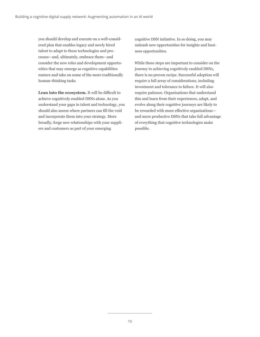you should develop and execute on a well-considered plan that enables legacy and newly hired talent to adapt to these technologies and processes—and, ultimately, embrace them—and consider the new roles and development opportunities that may emerge as cognitive capabilities mature and take on some of the more traditionally human-thinking tasks.

**Lean into the ecosystem.** It will be difficult to achieve cognitively enabled DSNs alone. As you understand your gaps in talent and technology, you should also assess where partners can fill the void and incorporate them into your strategy. More broadly, forge new relationships with your suppliers and customers as part of your emerging

cognitive DSN initiative. In so doing, you may unleash new opportunities for insights and business opportunities.

While these steps are important to consider on the journey to achieving cognitively enabled DSNs, there is no proven recipe. Successful adoption will require a full array of considerations, including investment and tolerance to failure. It will also require patience. Organizations that understand this and learn from their experiences, adapt, and evolve along their cognitive journeys are likely to be rewarded with more effective organizations and more productive DSNs that take full advantage of everything that cognitive technologies make possible.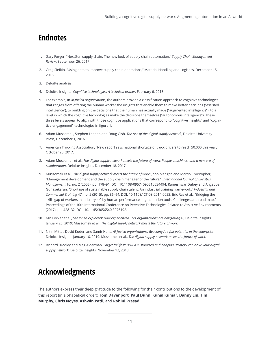## **Endnotes**

- 1. Gary Forger, "[NextGen supply chain: The new look of supply chain automation](https://www.scmr.com/article/nextgen_supply_chain_the_new_look_of_supply_chain_automation)," *Supply Chain Management Review*, September 26, 2017.
- 2. Greg Siefkin, "[Using data to improve supply chain operations](https://www.mhlnews.com/technology-automation/using-data-improve-supply-chain-operations)," Material Handling and Logistics, December 15, 2018.
- 3. Deloitte analysis.
- 4. Deloitte Insights, *[Cognitive technologies: A technical primer](https://www2.deloitte.com/insights/us/en/focus/cognitive-technologies/technical-primer.html)*, February 6, 2018.
- 5. For example, in *[AI-fueled organizations](https://www2.deloitte.com/insights/us/en/focus/tech-trends/2019/driving-ai-potential-organizations.html)*, the authors provide a classification approach to cognitive technologies that ranges from offering the human worker the insights that enable them to make better decisions ("assisted intelligence"), to building on the decisions that the human has actually made ("augmented intelligence"), to a level in which the cognitive technologies make the decisions themselves ("autonomous intelligence"). These three levels appear to align with those cognitive applications that correspond to "cognitive insights" and "cognitive engagement" technologies in figure 1.
- 6. Adam Mussomeli, Stephen Laaper, and Doug Gish, *[The rise of the digital supply network](https://www2.deloitte.com/insights/us/en/focus/industry-4-0/digital-transformation-in-supply-chain.html )*, Deloitte University Press, December 1, 2016.
- 7. American Trucking Association, "[New report says national shortage of truck drivers to reach 50,000 this year](https://www.trucking.org/article/New Report Says-National-Shortage-of-Truck-Drivers-to-Reach-50,000-This-Year)," October 20, 2017.
- 8. Adam Mussomeli et al., *[The digital supply network meets the future of work: People, machines, and a new era of](https://www2.deloitte.com/content/dam/insights/us/articles/4052_DSN-meets-the-future-of-work/4052_DSN_FoW.pdf)  [collaboration](https://www2.deloitte.com/content/dam/insights/us/articles/4052_DSN-meets-the-future-of-work/4052_DSN_FoW.pdf)*, Deloitte Insights, December 18, 2017.
- 9. Mussomeli et al., *[The digital supply network meets the future of work](https://www2.deloitte.com/content/dam/insights/us/articles/4052_DSN-meets-the-future-of-work/4052_DSN_FoW.pdf)*; John Mangan and Martin Christopher, "[Management development and the supply chain manager of the future,](https://dspace.lib.cranfield.ac.uk/handle/1826/2656)" *International Journal of Logistics Management* 16, no. 2 (2005): pp. 178–91, DOI: 10.1108/09574090510634494; Rameshwar Dubey and Angappa Gunasekaran, "[Shortage of sustainable supply chain talent: An industrial training framework](https://www.researchgate.net/publication/272167131_Shortage_of_sustainable_supply_chain_talent_An_industrial_training_framework)," *Industrial and Commercial Training* 47, no. 2 (2015): pp. 86–94, DOI: 10.1108/ICT-08-2014-0052; Eric Ras et al., ["Bridging the](https://dl.acm.org/citation.cfm?id=3076192)  [skills gap of workers in Industry 4.0 by human performance augmentation tools: Challenges and road map,](https://dl.acm.org/citation.cfm?id=3076192)" Proceedings of the 10th International Conference on Pervasive Technologies Related to Assistive Environments, (2017): pp. 428–32, DOI: 10.1145/3056540.3076192.
- 10. Mic Locker et al., *[Seasoned explorers: How experienced TMT organizations are navigating AI](https://www2.deloitte.com/insights/us/en/focus/cognitive-technologies/AI-applications-in-technology-media-and-telecom.html)*, Deloitte Insights, January 25, 2019; Mussomeli et al., *[The digital supply network meets the future of work.](https://www2.deloitte.com/content/dam/insights/us/articles/4052_DSN-meets-the-future-of-work/4052_DSN_FoW.pdf)*
- 11. Nitin Mittal, David Kuder, and Samir Hans, *[AI-fueled organizations: Reaching AI's full potential in the enterprise](https://www2.deloitte.com/insights/us/en/focus/tech-trends/2019/driving-ai-potential-organizations.html)*, Deloitte Insights, January 16, 2019; Mussomeli et al., *[The digital supply network meets the future of work](https://www2.deloitte.com/content/dam/insights/us/articles/4052_DSN-meets-the-future-of-work/4052_DSN_FoW.pdf)*.
- 12. Richard Bradley and Meg Alderman, *[Forget fail fast: How a customized and adaptive strategy can drive your digital](https://www2.deloitte.com/insights/us/en/focus/industry-4-0/digital-supply-networks-successful-implementation.html)  [supply network](https://www2.deloitte.com/insights/us/en/focus/industry-4-0/digital-supply-networks-successful-implementation.html)*, Deloitte Insights, November 12, 2018.

## **Acknowledgments**

The authors express their deep gratitude to the following for their contributions to the development of this report (in alphabetical order): **Tom Davenport**, **Paul Dunn**, **Kunal Kumar**, **Danny Lin**, **Tim Murphy**, **Chris Noyes**, **Ashwin Patil**, and **Rohini Prasad**.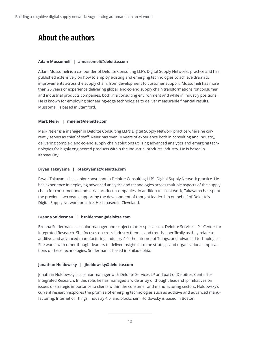## **About the authors**

#### **Adam Mussomeli | amussomeli@deloitte.com**

Adam Mussomeli is a co-founder of Deloitte Consulting LLP's Digital Supply Networks practice and has published extensively on how to employ existing and emerging technologies to achieve dramatic improvements across the supply chain, from development to customer support. Mussomeli has more than 25 years of experience delivering global, end-to-end supply chain transformations for consumer and industrial products companies, both in a consulting environment and while in industry positions. He is known for employing pioneering-edge technologies to deliver measurable financial results. Mussomeli is based in Stamford.

#### **Mark Neier | mneier@deloitte.com**

Mark Neier is a manager in Deloitte Consulting LLP's Digital Supply Network practice where he currently serves as chief of staff. Neier has over 10 years of experience both in consulting and industry, delivering complex, end-to-end supply chain solutions utilizing advanced analytics and emerging technologies for highly engineered products within the industrial products industry. He is based in Kansas City.

#### **Bryan Takayama | btakayama@deloitte.com**

Bryan Takayama is a senior consultant in Deloitte Consulting LLP's Digital Supply Network practice. He has experience in deploying advanced analytics and technologies across multiple aspects of the supply chain for consumer and industrial products companies. In addition to client work, Takayama has spent the previous two years supporting the development of thought leadership on behalf of Deloitte's Digital Supply Network practice. He is based in Cleveland.

#### **Brenna Sniderman | bsniderman@deloitte.com**

Brenna Sniderman is a senior manager and subject matter specialist at Deloitte Services LP's Center for Integrated Research. She focuses on cross-industry themes and trends, specifically as they relate to additive and advanced manufacturing, Industry 4.0, the Internet of Things, and advanced technologies. She works with other thought leaders to deliver insights into the strategic and organizational implications of these technologies. Sniderman is based in Philadelphia.

#### **Jonathan Holdowsky | jholdowsky@deloitte.com**

Jonathan Holdowsky is a senior manager with Deloitte Services LP and part of Deloitte's Center for Integrated Research. In this role, he has managed a wide array of thought leadership initiatives on issues of strategic importance to clients within the consumer and manufacturing sectors. Holdowsky's current research explores the promise of emerging technologies such as additive and advanced manufacturing, Internet of Things, Industry 4.0, and blockchain. Holdowsky is based in Boston.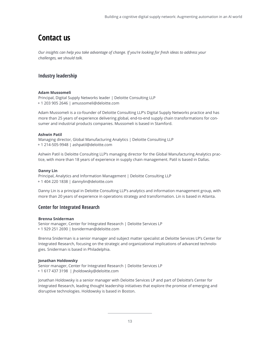## **Contact us**

*Our insights can help you take advantage of change. If you're looking for fresh ideas to address your challenges, we should talk.*

### **Industry leadership**

#### **Adam Mussomeli**

Principal, Digital Supply Networks leader | Deloitte Consulting LLP + 1 203 905 2646 | amussomeli@deloitte.com

Adam Mussomeli is a co-founder of Deloitte Consulting LLP's Digital Supply Networks practice and has more than 25 years of experience delivering global, end-to-end supply chain transformations for consumer and industrial products companies. Mussomeli is based in Stamford.

#### **Ashwin Patil**

Managing director, Global Manufacturing Analytics | Deloitte Consulting LLP + 1 214-505-9948 | ashpatil@deloitte.com

Ashwin Patil is Deloitte Consulting LLP's managing director for the Global Manufacturing Analytics practice, with more than 18 years of experience in supply chain management. Patil is based in Dallas.

#### **Danny Lin**

Principal, Analytics and Information Management | Deloitte Consulting LLP + 1 404 220 1838 | dannylin@deloitte.com

Danny Lin is a principal in Deloitte Consulting LLP's analytics and information management group, with more than 20 years of experience in operations strategy and transformation. Lin is based in Atlanta.

### **Center for Integrated Research**

#### **Brenna Sniderman**

Senior manager, Center for Integrated Research | Deloitte Services LP + 1 929 251 2690 | bsniderman@deloitte.com

Brenna Sniderman is a senior manager and subject matter specialist at Deloitte Services LP's Center for Integrated Research, focusing on the strategic and organizational implications of advanced technologies. Sniderman is based in Philadelphia.

#### **Jonathan Holdowsky**

Senior manager, Center for Integrated Research | Deloitte Services LP + 1 617 437 3198 | jholdowsky@deloitte.com

Jonathan Holdowsky is a senior manager with Deloitte Services LP and part of Deloitte's Center for Integrated Research, leading thought leadership initiatives that explore the promise of emerging and disruptive technologies. Holdowsky is based in Boston.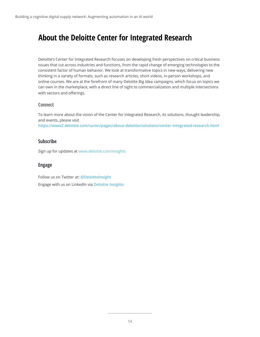## **About the Deloitte Center for Integrated Research**

Deloitte's Center for Integrated Research focuses on developing fresh perspectives on critical business issues that cut across industries and functions, from the rapid change of emerging technologies to the consistent factor of human behavior. We look at transformative topics in new ways, delivering new thinking in a variety of formats, such as research articles, short videos, in-person workshops, and online courses. We are at the forefront of many Deloitte Big Idea campaigns, which focus on topics we can own in the marketplace, with a direct line of sight to commercialization and multiple intersections with sectors and offerings.

#### **Connect**

To learn more about the vision of the Center for Integrated Research, its solutions, thought leadership, and events, please visit **<https://www2.deloitte.com/us/en/pages/about-deloitte/solutions/center-integrated-research.html>**

#### **Subscribe**

Sign up for updates at [www.deloitte.com/insights](http://www.deloitte.com/insights)

### **Engage**

Follow us on Twitter at: **@DeloitteInsight** Engage with us on LinkedIn via **[Deloitte Insights](https://www.linkedin.com/showcase/deloitte-insights/)**